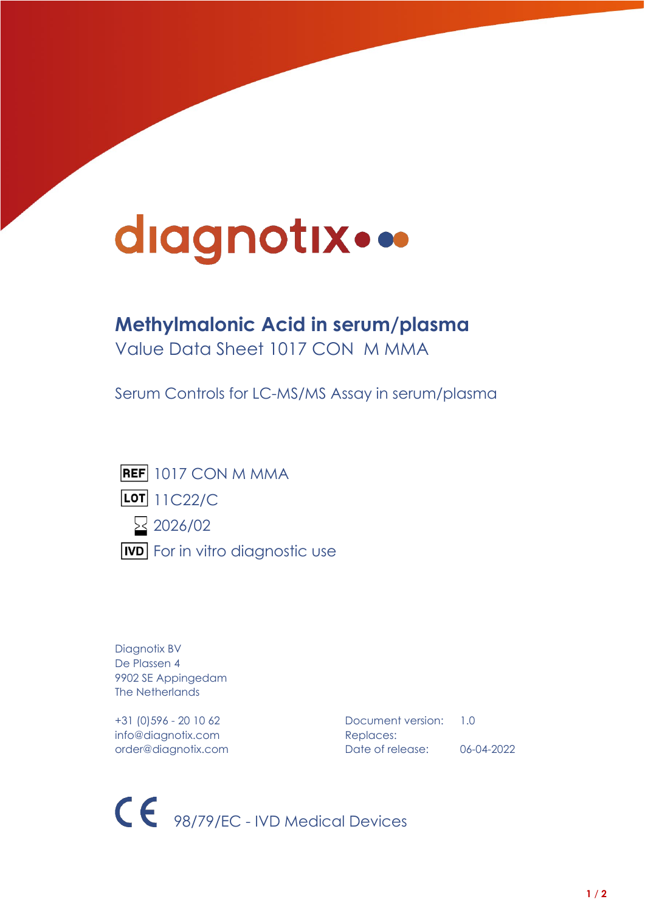# diagnotix...

## **Methylmalonic Acid in serum/plasma**

Value Data Sheet 1017 CON M MMA

Serum Controls for LC-MS/MS Assay in serum/plasma



Diagnotix BV De Plassen 4 9902 SE Appingedam The Netherlands

info@diagnotix.com Replaces:

+31 (0)596 - 20 10 62 Document version: 1.0 order@diagnotix.com Date of release: 06-04-2022

CE 98/79/EC - IVD Medical Devices